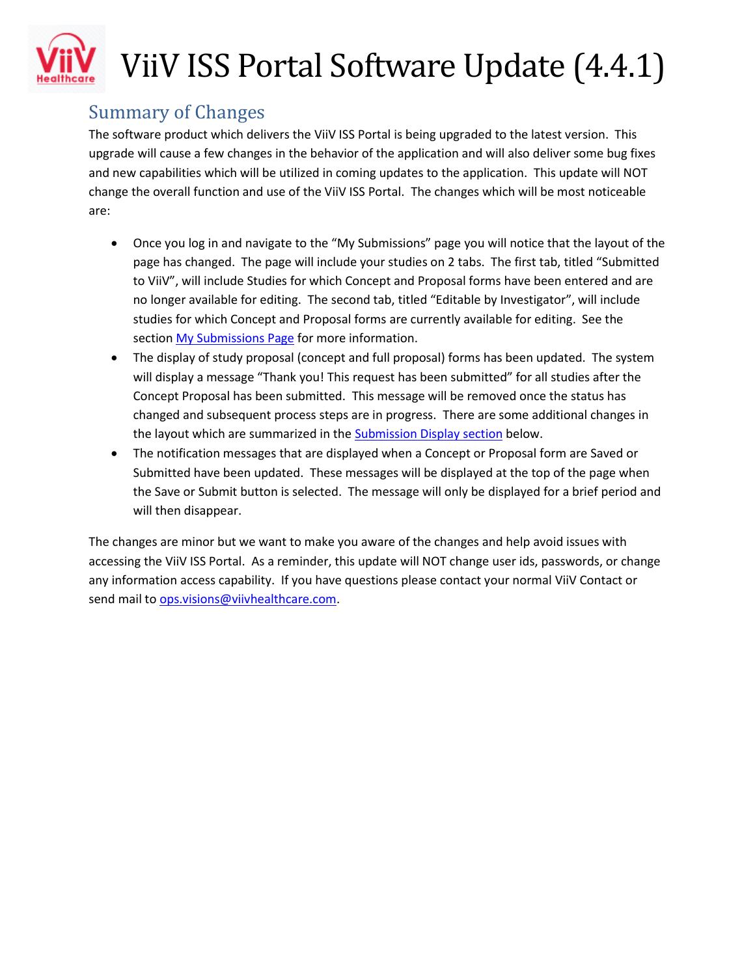

## ViiV ISS Portal Software Update (4.4.1)

## Summary of Changes

The software product which delivers the ViiV ISS Portal is being upgraded to the latest version. This upgrade will cause a few changes in the behavior of the application and will also deliver some bug fixes and new capabilities which will be utilized in coming updates to the application. This update will NOT change the overall function and use of the ViiV ISS Portal. The changes which will be most noticeable are:

- Once you log in and navigate to the "My Submissions" page you will notice that the layout of the page has changed. The page will include your studies on 2 tabs. The first tab, titled "Submitted to ViiV", will include Studies for which Concept and Proposal forms have been entered and are no longer available for editing. The second tab, titled "Editable by Investigator", will include studies for which Concept and Proposal forms are currently available for editing. See the sectio[n My Submissions Page](#page-1-0) for more information.
- The display of study proposal (concept and full proposal) forms has been updated. The system will display a message "Thank you! This request has been submitted" for all studies after the Concept Proposal has been submitted. This message will be removed once the status has changed and subsequent process steps are in progress. There are some additional changes in the layout which are summarized in th[e Submission Display section](#page-2-0) below.
- The notification messages that are displayed when a Concept or Proposal form are Saved or Submitted have been updated. These messages will be displayed at the top of the page when the Save or Submit button is selected. The message will only be displayed for a brief period and will then disappear.

The changes are minor but we want to make you aware of the changes and help avoid issues with accessing the ViiV ISS Portal. As a reminder, this update will NOT change user ids, passwords, or change any information access capability. If you have questions please contact your normal ViiV Contact or send mail t[o ops.visions@viivhealthcare.com.](mailto:ops.visions@viivhealthcare.com)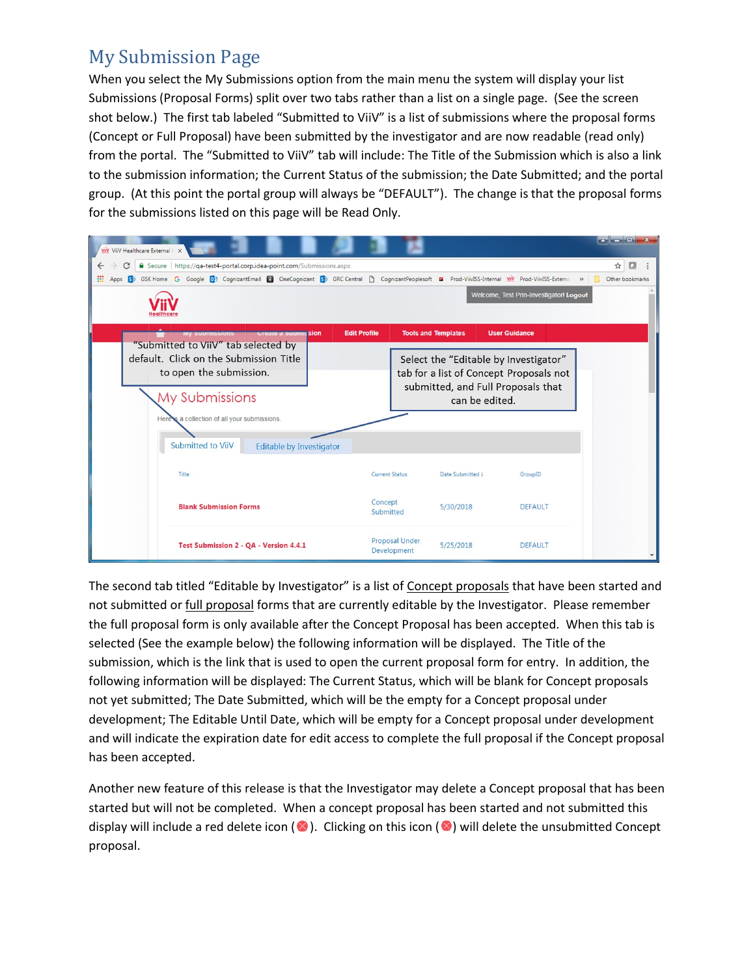## <span id="page-1-0"></span>My Submission Page

When you select the My Submissions option from the main menu the system will display your list Submissions (Proposal Forms) split over two tabs rather than a list on a single page. (See the screen shot below.) The first tab labeled "Submitted to ViiV" is a list of submissions where the proposal forms (Concept or Full Proposal) have been submitted by the investigator and are now readable (read only) from the portal. The "Submitted to ViiV" tab will include: The Title of the Submission which is also a link to the submission information; the Current Status of the submission; the Date Submitted; and the portal group. (At this point the portal group will always be "DEFAULT"). The change is that the proposal forms for the submissions listed on this page will be Read Only.



The second tab titled "Editable by Investigator" is a list of Concept proposals that have been started and not submitted or full proposal forms that are currently editable by the Investigator. Please remember the full proposal form is only available after the Concept Proposal has been accepted. When this tab is selected (See the example below) the following information will be displayed. The Title of the submission, which is the link that is used to open the current proposal form for entry. In addition, the following information will be displayed: The Current Status, which will be blank for Concept proposals not yet submitted; The Date Submitted, which will be the empty for a Concept proposal under development; The Editable Until Date, which will be empty for a Concept proposal under development and will indicate the expiration date for edit access to complete the full proposal if the Concept proposal has been accepted.

Another new feature of this release is that the Investigator may delete a Concept proposal that has been started but will not be completed. When a concept proposal has been started and not submitted this display will include a red delete icon ( $\bullet$ ). Clicking on this icon ( $\bullet$ ) will delete the unsubmitted Concept proposal.